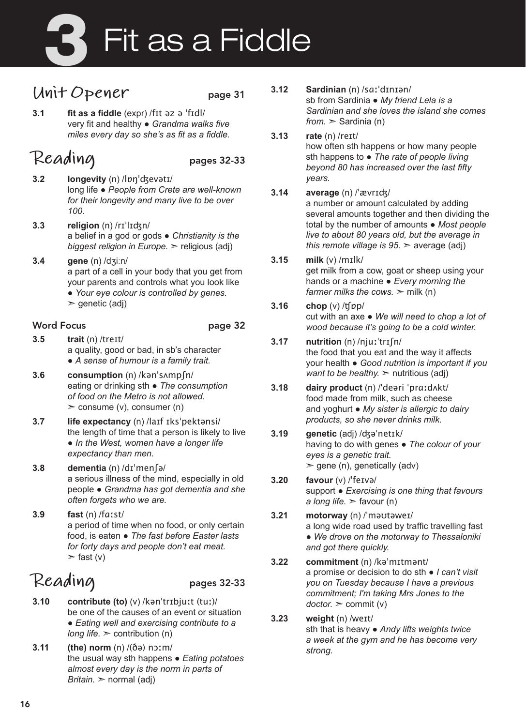# Fit as a Fiddle

### **Unit Opener** page 31

**3.1 fit as a fiddle** (expr) /fɪt əz ə ˈfɪdl/ very fit and healthy ● *Grandma walks five miles every day so she's as fit as a fiddle.* 

### **Reading** pages 32-33

- **3.2 longevity** (n) /lɒŋˈʤevətɪ/ long life ● *People from Crete are well-known for their longevity and many live to be over 100.*
- **3.3 religion** (n) /rɪˈlɪʤn/ a belief in a god or gods ● *Christianity is the biggest religion in Europe.* ➣ religious (adj)
- **3.4 gene** (n) /dʒiːn/ a part of a cell in your body that you get from your parents and controls what you look like ● *Your eye colour is controlled by genes.* 
	-
	- $\ge$  genetic (adj)

### Word Focus **page 32**

- 
- **3.5 trait** (n) /treɪt/ a quality, good or bad, in sb's character ● *A sense of humour is a family trait.*
- **3.6 consumption** (n) /kənˈsʌmpʃn/ eating or drinking sth ● *The consumption of food on the Metro is not allowed.*   $\geq$  consume (v), consumer (n)
- **3.7 life expectancy** (n) /laɪf ɪksˈpektənsi/ the length of time that a person is likely to live ● *In the West, women have a longer life expectancy than men.*
- **3.8 dementia** (n) /dɪˈmenʃə/ a serious illness of the mind, especially in old people ● *Grandma has got dementia and she often forgets who we are.*
- **3.9 fast** (n) /fɑːst/ a period of time when no food, or only certain food, is eaten ● *The fast before Easter lasts for forty days and people don't eat meat.*   $>$  fast (v)

## **Reading** pages 32-33

- **3.10 contribute (to)** (v) /kənˈtrɪbjuːt (tuː)/ be one of the causes of an event or situation ● *Eating well and exercising contribute to a long life.*  $>$  contribution (n)
- **3.11 (the) norm** (n) /(ðə) nɔːm/ the usual way sth happens ● *Eating potatoes almost every day is the norm in parts of Britain.* ➣ normal (adj)
- **3.12 Sardinian** (n) /sɑːˈdɪnɪən/ sb from Sardinia ● *My friend Lela is a Sardinian and she loves the island she comes from.* ➣ Sardinia (n)
- **3.13 rate** (n) /reɪt/ how often sth happens or how many people sth happens to ● *The rate of people living beyond 80 has increased over the last fifty years.*

#### **3.14 average** (n) /ˈævrɪʤ/

a number or amount calculated by adding several amounts together and then dividing the total by the number of amounts ● *Most people live to about 80 years old, but the average in this remote village is 95.* ➣ average (adj)

- **3.15 milk** (v) /mɪlk/ get milk from a cow, goat or sheep using your hands or a machine ● *Every morning the farmer milks the cows.*  $>$  milk (n)
- **3.16 chop** (v) /ʧɒp/ cut with an axe ● *We will need to chop a lot of wood because it's going to be a cold winter.*
- **3.17 nutrition** (n) /njuːˈtrɪʃn/ the food that you eat and the way it affects your health ● *Good nutrition is important if you want to be healthy.*  $>$  nutritious (adj)
- **3.18 dairy product** (n) /ˈdeəri ˈprɑːdʌkt/ food made from milk, such as cheese and yoghurt ● *My sister is allergic to dairy products, so she never drinks milk.*
- **3.19 genetic** (adj) /ʤəˈnetɪk/ having to do with genes ● *The colour of your eyes is a genetic trait.*   $\ge$  gene (n), genetically (adv)
- **3.20 favour** (v) /ˈfeɪvə/ support ● *Exercising is one thing that favours a long life.* ➣ favour (n)
- **3.21 motorway** (n) /ˈməʊtəweɪ/ a long wide road used by traffic travelling fast ● *We drove on the motorway to Thessaloniki and got there quickly.*
- **3.22 commitment** (n) /kəˈmɪtmənt/ a promise or decision to do sth ● *I can't visit you on Tuesday because I have a previous commitment; I'm taking Mrs Jones to the doctor.* ➣ commit (v)
- **3.23 weight** (n) /weɪt/ sth that is heavy ● *Andy lifts weights twice a week at the gym and he has become very strong.*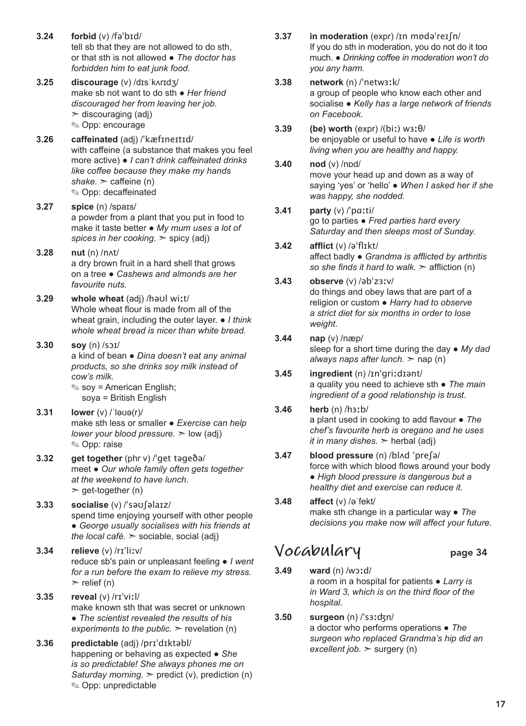- **3.24 forbid** (v) /fəˈbɪd/ tell sb that they are not allowed to do sth, or that sth is not allowed ● *The doctor has forbidden him to eat junk food.*
- **3.25 discourage** (v) /dɪsˈkʌrɪdʒ/ make sb not want to do sth ● *Her friend discouraged her from leaving her job.*   $\geq$  discouraging (adj) ✎ Opp: encourage
- **3.26 caffeinated** (adj) /ˈkæfɪneɪtɪd/ with caffeine (a substance that makes you feel more active) ● *I can't drink caffeinated drinks like coffee because they make my hands*   $shake.$   $\ge$  caffeine (n) ✎ Opp: decaffeinated
- **3.27 spice** (n) /spaɪs/ a powder from a plant that you put in food to make it taste better ● *My mum uses a lot of spices in her cooking.* ➣ spicy (adj)
- **3.28 nut** (n) /nʌt/ a dry brown fruit in a hard shell that grows on a tree ● *Cashews and almonds are her favourite nuts.*
- **3.29 whole wheat** (adj) /həʊl wiːt/ Whole wheat flour is made from all of the wheat grain, including the outer layer. ● *I think whole wheat bread is nicer than white bread.*
- **3.30 soy** (n) /sɔɪ/ a kind of bean ● *Dina doesn't eat any animal products, so she drinks soy milk instead of cow's milk.*  ✎ soy = American English;
	- soya = British English
- **3.31 lower** (v) /ˈləʊə(r)/ make sth less or smaller ● *Exercise can help lower your blood pressure.*  $\geq$  low (adj) ✎ Opp: raise
- **3.32 get together** (phr v) /ˈget təgeðə/ meet ● *Our whole family often gets together at the weekend to have lunch*.  $\ge$  get-together (n)
- **3.33 socialise** (v) /ˈsəʊʃəlaɪz/ spend time enjoying yourself with other people ● *George usually socialises with his friends at the local café.* ➣ sociable, social (adj)
- **3.34 relieve** (v) /rɪˈliːv/ reduce sb's pain or unpleasant feeling ● *I went for a run before the exam to relieve my stress.*   $\triangleright$  relief (n)
- **3.35 reveal** (v) /rɪˈviːl/ make known sth that was secret or unknown ● *The scientist revealed the results of his experiments to the public.*  $\geq$  revelation (n)
- **3.36 predictable** (adj) /prɪˈdɪktəbl/ happening or behaving as expected ● *She is so predictable! She always phones me on Saturday morning.* ➣ predict (v), prediction (n) ✎ Opp: unpredictable
- **3.37 in moderation** (expr) /ɪn mɒdəˈreɪʃn/ If you do sth in moderation, you do not do it too much. ● *Drinking coffee in moderation won't do you any harm.*
- **3.38 network** (n) /ˈnetwɜːk/ a group of people who know each other and socialise ● *Kelly has a large network of friends on Facebook.*
- **3.39 (be) worth** (expr) /(biː) wɜːθ/ be enjoyable or useful to have ● *Life is worth living when you are healthy and happy.*
- **3.40 nod** (v) /nɒd/ move your head up and down as a way of saying 'yes' or 'hello' ● *When I asked her if she was happy, she nodded.*
- **3.41 party** (v) /ˈpɑːti/ go to parties ● *Fred parties hard every Saturday and then sleeps most of Sunday.*
- **3.42 afflict** (v) /əˈflɪkt/ affect badly ● *Grandma is afflicted by arthritis so she finds it hard to walk.* ➣ affliction (n)
- **3.43 observe** (v) /əbˈzɜːv/ do things and obey laws that are part of a religion or custom ● *Harry had to observe a strict diet for six months in order to lose weight.*
- **3.44 nap** (v) /næp/ sleep for a short time during the day ● *My dad always naps after lunch.* ➣ nap (n)
- **3.45 ingredient** (n) /ɪnˈgriːdɪənt/ a quality you need to achieve sth ● *The main ingredient of a good relationship is trust.*
- **3.46 herb** (n) /hɜːb/ a plant used in cooking to add flavour ● *The chef's favourite herb is oregano and he uses it in many dishes.*  $>$  herbal (adj)
- **3.47 blood pressure** (n) /blʌd ˈpreʃə/ force with which blood flows around your body ● *High blood pressure is dangerous but a healthy diet and exercise can reduce it.*
- **3.48 affect** (v) /əˈfekt/ make sth change in a particular way ● *The decisions you make now will affect your future.*

### **Vocabulary** page 34

- **3.49 ward** (n) /wɔːd/ a room in a hospital for patients ● *Larry is in Ward 3, which is on the third floor of the hospital.*
- **3.50 surgeon** (n) /ˈsɜːʤn/ a doctor who performs operations ● *The surgeon who replaced Grandma's hip did an excellent job.* ➣ surgery (n)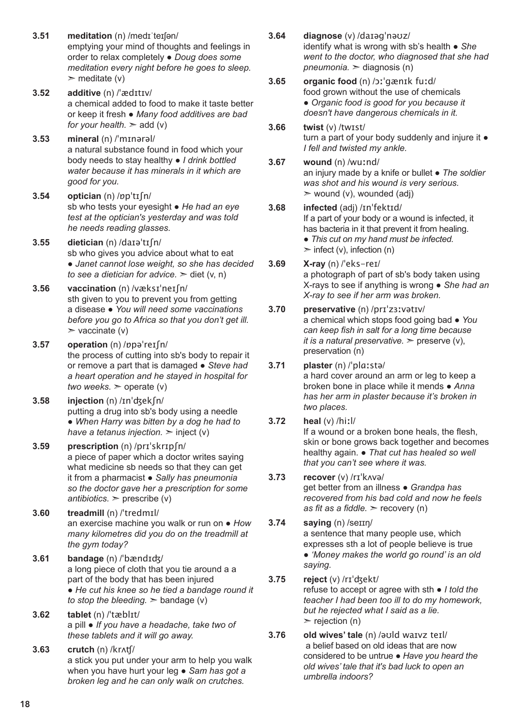- **3.51 meditation** (n) /medɪˈteɪʃən/ emptying your mind of thoughts and feelings in order to relax completely ● *Doug does some meditation every night before he goes to sleep.*   $\triangleright$  meditate (v)
- **3.52 additive** (n) /ˈædɪtɪv/ a chemical added to food to make it taste better or keep it fresh ● *Many food additives are bad for your health.* > add (v)
- **3.53 mineral** (n) /ˈmɪnərəl/ a natural substance found in food which your body needs to stay healthy ● *I drink bottled water because it has minerals in it which are good for you.*
- **3.54 optician** (n) /ɒpˈtɪʃn/ sb who tests your eyesight ● *He had an eye test at the optician's yesterday and was told he needs reading glasses.*
- **3.55 dietician** (n) /daɪəˈtɪʃn/ sb who gives you advice about what to eat ● *Janet cannot lose weight, so she has decided to see a dietician for advice.* ► diet (v, n)
- **3.56 vaccination** (n) /væksɪˈneɪʃn/ sth given to you to prevent you from getting a disease ● *You will need some vaccinations before you go to Africa so that you don't get ill.*   $\triangleright$  vaccinate (v)
- **3.57 operation** (n) /ɒpəˈreɪʃn/ the process of cutting into sb's body to repair it or remove a part that is damaged ● *Steve had a heart operation and he stayed in hospital for two weeks.*  $\geq$  operate (v)
- **3.58 injection** (n) /ɪnˈʤekʃn/ putting a drug into sb's body using a needle ● *When Harry was bitten by a dog he had to have a tetanus injection.*  $\geq$  inject (v)
- **3.59 prescription** (n) /prɪˈskrɪpʃn/ a piece of paper which a doctor writes saying what medicine sb needs so that they can get it from a pharmacist ● *Sally has pneumonia so the doctor gave her a prescription for some antibiotics.*  $>$  prescribe (v)
- **3.60 treadmill** (n) /ˈtredmɪl/ an exercise machine you walk or run on ● *How many kilometres did you do on the treadmill at the gym today?*
- **3.61 bandage** (n) /ˈbændɪʤ/ a long piece of cloth that you tie around a a part of the body that has been injured ● *He cut his knee so he tied a bandage round it to stop the bleeding.* ➣ bandage (v)
- **3.62 tablet** (n) /ˈtæblɪt/ a pill ● *If you have a headache, take two of these tablets and it will go away.*
- **3.63 crutch** (n) /krʌʧ/ a stick you put under your arm to help you walk when you have hurt your leg ● *Sam has got a broken leg and he can only walk on crutches.*
- **3.64 diagnose** (v) /daɪəgˈnəʊz/ identify what is wrong with sb's health ● *She went to the doctor, who diagnosed that she had pneumonia.* ➣ diagnosis (n)
- **3.65 organic food** (n) /ɔːˈgænɪk fuːd/ food grown without the use of chemicals ● *Organic food is good for you because it doesn't have dangerous chemicals in it.*
- **3.66 twist** (v) /twɪst/ turn a part of your body suddenly and injure it  $\bullet$ *I fell and twisted my ankle.*
- **3.67 wound** (n) /wuːnd/ an injury made by a knife or bullet ● *The soldier was shot and his wound is very serious.*   $\ge$  wound (v), wounded (adj)
- **3.68 infected** (adj) /ɪnˈfektɪd/ If a part of your body or a wound is infected, it has bacteria in it that prevent it from healing. ● *This cut on my hand must be infected.*   $\ge$  infect (v), infection (n)
- **3.69 X-ray** (n) /ˈeks-reɪ/ a photograph of part of sb's body taken using X-rays to see if anything is wrong ● *She had an X-ray to see if her arm was broken.*
- **3.70 preservative** (n) /prɪˈzɜːvətɪv/ a chemical which stops food going bad ● *You can keep fish in salt for a long time because it is a natural preservative.*  $\ge$  preserve (v), preservation (n)
- **3.71 plaster** (n) /ˈplɑːstə/ a hard cover around an arm or leg to keep a broken bone in place while it mends ● *Anna has her arm in plaster because it's broken in two places.*
- **3.72 heal** (v) /hiːl/ If a wound or a broken bone heals, the flesh, skin or bone grows back together and becomes healthy again. ● *That cut has healed so well that you can't see where it was.*
- **3.73 recover** (v) /rɪˈkʌvə/ get better from an illness ● *Grandpa has recovered from his bad cold and now he feels as fit as a fiddle.* ➣ recovery (n)
- **3.74 saying** (n) /seɪɪŋ/ a sentence that many people use, which expresses sth a lot of people believe is true ● *'Money makes the world go round' is an old saying.*
- **3.75 reject** (v) /rɪˈʤekt/ refuse to accept or agree with sth ● *I told the teacher I had been too ill to do my homework, but he rejected what I said as a lie.*   $\triangleright$  rejection (n)
- **3.76 old wives' tale** (n) /əʊld waɪvz teɪl/ a belief based on old ideas that are now considered to be untrue ● *Have you heard the old wives' tale that it's bad luck to open an umbrella indoors?*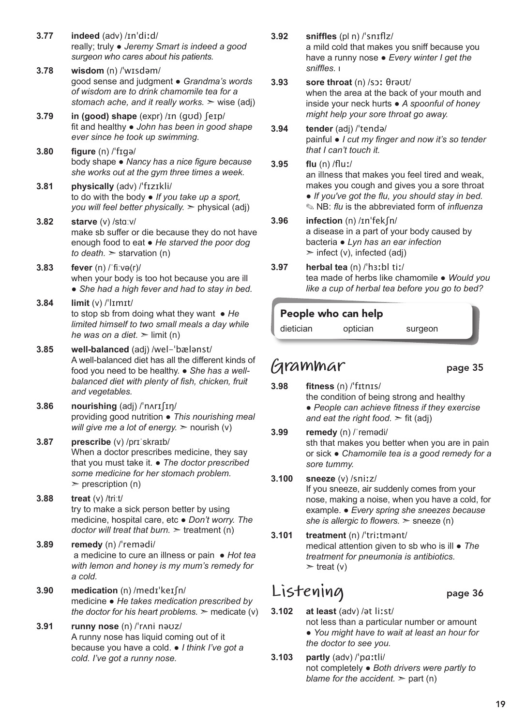- **3.77 indeed** (adv) /ɪnˈdiːd/ really; truly ● *Jeremy Smart is indeed a good surgeon who cares about his patients.*
- **3.78 wisdom** (n) /ˈwɪsdəm/ good sense and judgment ● *Grandma's words of wisdom are to drink chamomile tea for a stomach ache, and it really works.* ➣ wise (adj)
- **3.79 in (good) shape** (expr) /ɪn (gʊd) ʃeɪp/ fit and healthy ● *John has been in good shape ever since he took up swimming.*
- **3.80 figure** (n) /ˈfɪgə/ body shape ● *Nancy has a nice figure because she works out at the gym three times a week.*
- **3.81 physically** (adv) /ˈfɪzɪkli/ to do with the body ● *If you take up a sport, you will feel better physically.* ➣ physical (adj)
- **3.82 starve** (v) /stɑːv/ make sb suffer or die because they do not have enough food to eat ● *He starved the poor dog to death.*  $>$  starvation (n)
- **3.83 fever** (n) /ˈfiːvə(r)/ when your body is too hot because you are ill • She had a high fever and had to stay in bed.
- **3.84 limit** (v) /ˈlɪmɪt/ to stop sb from doing what they want ● *He limited himself to two small meals a day while he was on a diet.*  $\geq$  limit (n)
- **3.85 well-balanced** (adj) /wel-ˈbælənst/ A well-balanced diet has all the different kinds of food you need to be healthy. ● *She has a wellbalanced diet with plenty of fish, chicken, fruit and vegetables.*
- **3.86 nourishing** (adj) /ˈnʌrɪʃɪŋ/ providing good nutrition ● *This nourishing meal will give me a lot of energy.*  $\geq$  nourish (v)
- **3.87 prescribe** (v) /prɪˈskraɪb/ When a doctor prescribes medicine, they say that you must take it. ● *The doctor prescribed some medicine for her stomach problem.*   $\triangleright$  prescription (n)
- **3.88 treat** (v) /triːt/ try to make a sick person better by using medicine, hospital care, etc ● *Don't worry. The doctor will treat that burn.* ➣ treatment (n)
- **3.89 remedy** (n) /ˈremədi/ a medicine to cure an illness or pain ● *Hot tea with lemon and honey is my mum's remedy for a cold.*
- **3.90 medication** (n) /medɪˈkeɪʃn/ medicine ● *He takes medication prescribed by the doctor for his heart problems.*  $\geq$  medicate (v)
- **3.91 runny nose** (n) /ˈrʌni nəʊz/ A runny nose has liquid coming out of it because you have a cold. ● *I think I've got a cold. I've got a runny nose.*
- **3.92 sniffles** (pl n) /ˈsnɪflz/ a mild cold that makes you sniff because you have a runny nose ● *Every winter I get the sniffles.* ι
- **3.93 sore throat** (n) /sɔː θrəʊt/ when the area at the back of your mouth and inside your neck hurts ● *A spoonful of honey might help your sore throat go away.*
- **3.94 tender** (adj) /ˈtendə/ painful ● *I cut my finger and now it's so tender that I can't touch it.*
- **3.95 flu** (n) /fluː/ an illness that makes you feel tired and weak, makes you cough and gives you a sore throat ● *If you've got the flu, you should stay in bed.*  ✎ NB: *flu* is the abbreviated form of *influenza*
- **3.96 infection** (n) /ɪnˈfekʃn/ a disease in a part of your body caused by bacteria ● *Lyn has an ear infection*   $\triangleright$  infect (v), infected (adj)
- **3.97 herbal tea** (n) /ˈhɜːbl tiː/ tea made of herbs like chamomile ● *Would you like a cup of herbal tea before you go to bed?*

#### People who can help

dietician optician surgeon

### **Grammar** page 35

- **3.98 fitness** (n) /ˈfɪtnɪs/ the condition of being strong and healthy ● *People can achieve fitness if they exercise and eat the right food.*  $\geq$  fit (adj)
- **3.99 remedy** (n) /ˈremədi/ sth that makes you better when you are in pain or sick ● *Chamomile tea is a good remedy for a sore tummy.*
- **3.100 sneeze** (v) /sniːz/ If you sneeze, air suddenly comes from your nose, making a noise, when you have a cold, for example. ● *Every spring she sneezes because she is allergic to flowers.* ➣ sneeze (n)
- **3.101 treatment** (n) /ˈtriːtmənt/ medical attention given to sb who is ill ● *The treatment for pneumonia is antibiotics.*   $\triangleright$  treat (v)

### **Listening** page 36

- **3.102 at least** (adv) /ət liːst/ not less than a particular number or amount ● *You might have to wait at least an hour for the doctor to see you.*
- **3.103 partly** (adv) /ˈpɑːtli/ not completely ● *Both drivers were partly to blame for the accident.*  $>$  part (n)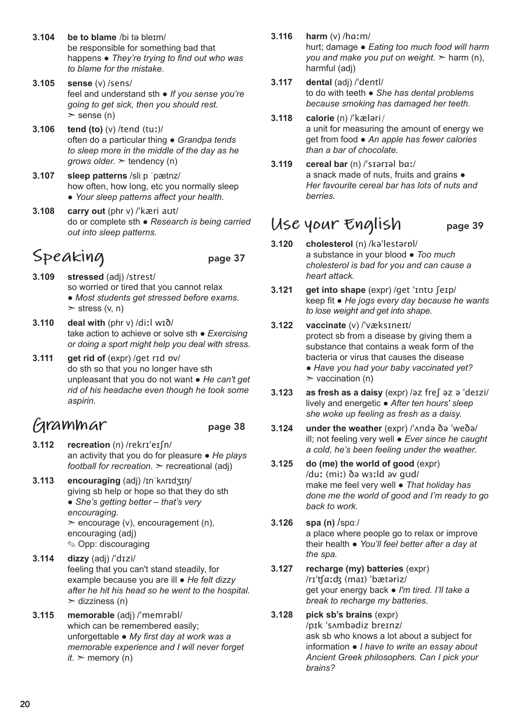- **3.104 be to blame** /bi tə bleɪm/ be responsible for something bad that happens ● *They're trying to find out who was to blame for the mistake.*
- **3.105 sense** (v) /sens/ feel and understand sth ● *If you sense you're going to get sick, then you should rest.*   $\ge$  sense (n)
- **3.106 tend (to)** (v) /tend (tuː)/ often do a particular thing ● *Grandpa tends to sleep more in the middle of the day as he grows older.* ➣ tendency (n)
- **3.107 sleep patterns** /sliːp ˈpætnz/ how often, how long, etc you normally sleep ● *Your sleep patterns affect your health.*
- **3.108 carry out** (phr v) /ˈkæri aʊt/ do or complete sth ● *Research is being carried out into sleep patterns.*

# Speaking page 37

- **3.109 stressed** (adj) /strest/ so worried or tired that you cannot relax ● *Most students get stressed before exams.*   $\ge$  stress (v, n)
- **3.110 deal with** (phr v) /diːl wɪð/ take action to achieve or solve sth ● *Exercising or doing a sport might help you deal with stress*.
- **3.111 get rid of** (expr) /get rɪd ɒv/ do sth so that you no longer have sth unpleasant that you do not want ● *He can't get rid of his headache even though he took some aspirin.*

### **Grammar** page 38

- **3.112 recreation** (n) /rekrɪˈeɪʃn/ an activity that you do for pleasure ● *He plays football for recreation.* ➣ recreational (adj)
- **3.113 encouraging** (adj) /ɪnˈkʌrɪdʒɪŋ/ giving sb help or hope so that they do sth ● *She's getting better – that's very encouraging.*  ➣ encourage (v), encouragement (n), encouraging (adj) ✎ Opp: discouraging
- **3.114 dizzy** (adj) /ˈdɪzi/ feeling that you can't stand steadily, for example because you are ill ● *He felt dizzy after he hit his head so he went to the hospital.*   $\ge$  dizziness (n)
- **3.115 memorable** (adj) /ˈmemrəbl/ which can be remembered easily; unforgettable ● *My first day at work was a memorable experience and I will never forget*   $it.$   $\geq$  memory (n)
- **3.116 harm** (v) /hɑːm/ hurt; damage ● *Eating too much food will harm you and make you put on weight.* ➣ harm (n), harmful (adj)
- **3.117 dental** (adj) /ˈdentl/ to do with teeth ● *She has dental problems because smoking has damaged her teeth.*
- **3.118 calorie** (n) /ˈkæləri/ a unit for measuring the amount of energy we get from food ● *An apple has fewer calories than a bar of chocolate.*
- **3.119 cereal bar** (n) /ˈsɪərɪəl bɑː/ a snack made of nuts, fruits and grains ● *Her favourite cereal bar has lots of nuts and berries.*

### **Use your English** page 39

- **3.120 cholesterol** (n) /kəˈlestərɒl/ a substance in your blood ● *Too much cholesterol is bad for you and can cause a heart attack.*
- **3.121 get into shape** (expr) /get ˈɪntʊ ʃeɪp/ keep fit ● *He jogs every day because he wants to lose weight and get into shape.*

#### **3.122 vaccinate** (v) /ˈvæksɪneɪt/ protect sb from a disease by giving them a substance that contains a weak form of the bacteria or virus that causes the disease ● *Have you had your baby vaccinated yet?*   $\triangleright$  vaccination (n)

- **3.123 as fresh as a daisy** (expr) /əz freʃ əz ə ˈdeɪzi/ lively and energetic ● *After ten hours' sleep she woke up feeling as fresh as a daisy.*
- **3.124 under the weather** (expr) /ˈʌndə ðə ˈweðə/ ill; not feeling very well ● *Ever since he caught a cold, he's been feeling under the weather.*
- **3.125 do (me) the world of good** (expr) /duː (miː) ðə wɜːld əv gʊd/ make me feel very well ● *That holiday has done me the world of good and I'm ready to go back to work.*
- **3.126 spa (n)** /spɑː/ a place where people go to relax or improve their health ● *You'll feel better after a day at the spa.*
- **3.127 recharge (my) batteries** (expr) /rɪˈʧɑːʤ (maɪ) ˈbætəriz/ get your energy back ● *I'm tired. I'll take a break to recharge my batteries.*

### **3.128 pick sb's brains** (expr)

/pɪk ˈsʌmbədiz breɪnz/ ask sb who knows a lot about a subject for information ● *I have to write an essay about Ancient Greek philosophers. Can I pick your brains?*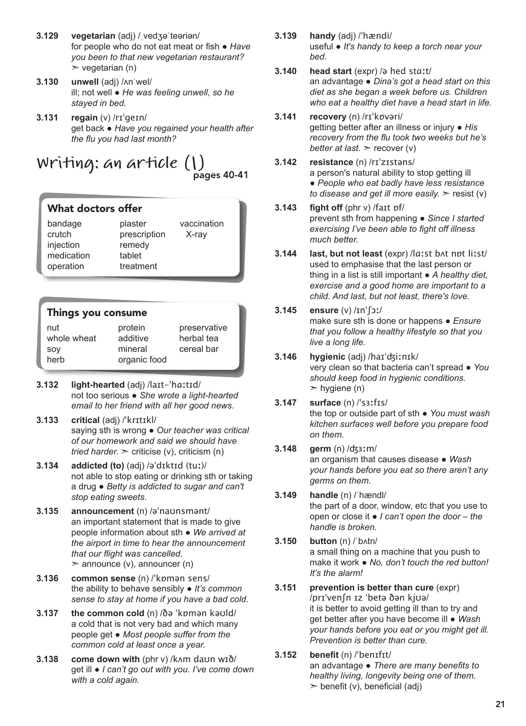- **3.129 vegetarian** (adj) /ˌvedʒəˈteəriən/ for people who do not eat meat or fish ● *Have you been to that new vegetarian restaurant?*   $\triangleright$  vegetarian (n)
- **3.130 unwell** (adj) /ʌnˈwel/ ill; not well ● *He was feeling unwell, so he stayed in bed.*
- **3.131 regain** (v) /rɪˈgeɪn/ get back ● *Have you regained your health after the flu you had last month?*

### **Writing: an article (1)** pages 40-41

### What doctors offer

| bandage<br>crutch<br>injection | plaster<br>prescription<br>remedy | vaccination<br>X-ray |
|--------------------------------|-----------------------------------|----------------------|
| medication<br>operation        | tablet<br>treatment               |                      |

### Things you consume

| nut         | protein      | preservative |
|-------------|--------------|--------------|
| whole wheat | additive     | herbal tea   |
| SOV         | mineral      | cereal bar   |
| herb        | organic food |              |
|             |              |              |

- **3.132 light-hearted** (adj) /laɪt-ˈhɑːtɪd/ not too serious ● *She wrote a light-hearted email to her friend with all her good news.*
- **3.133 critical** (adj) /ˈkrɪtɪkl/ saying sth is wrong ● *Our teacher was critical of our homework and said we should have tried harder.*  $\ge$  criticise (v), criticism (n)
- **3.134 addicted (to)** (adj) /əˈdɪktɪd (tuː)/ not able to stop eating or drinking sth or taking a drug ● *Betty is addicted to sugar and can't stop eating sweets.*
- **3.135 announcement** (n) /əˈnaʊnsmənt/ an important statement that is made to give people information about sth ● *We arrived at the airport in time to hear the announcement that our flight was cancelled.*  $\geq$  announce (v), announcer (n)
- **3.136 common sense** (n) /ˈkɒmən sens/ the ability to behave sensibly ● *It's common sense to stay at home if you have a bad cold.*
- **3.137 the common cold** (n) /ðə ˈkɒmən kəʊld/ a cold that is not very bad and which many people get ● *Most people suffer from the common cold at least once a year.*
- **3.138 come down with** (phr v) /kʌm daʊn wɪð/ get ill ● *I can't go out with you. I've come down with a cold again.*
- **3.139 handy** (adj) /ˈhændi/ useful ● *It's handy to keep a torch near your bed.*
- **3.140 head start** (expr) /ə hed stɑːt/ an advantage ● *Dina's got a head start on this diet as she began a week before us. Children who eat a healthy diet have a head start in life.*
- **3.141 recovery** (n) /rɪˈkɒvəri/ getting better after an illness or injury ● *His recovery from the flu took two weeks but he's better at last.* ➣ recover (v)
- **3.142 resistance** (n) /rɪˈzɪstəns/ a person's natural ability to stop getting ill ● *People who eat badly have less resistance to disease and get ill more easily.*  $\ge$  resist (v)
- **3.143 fight off** (phr v) /faɪt ɒf/ prevent sth from happening ● *Since I started exercising I've been able to fight off illness much better.*
- **3.144 last, but not least** (expr) /lɑːst bʌt nɒt liːst/ used to emphasise that the last person or thing in a list is still important ● *A healthy diet, exercise and a good home are important to a child. And last, but not least, there's love.*
- **3.145 ensure** (v) /ɪnˈʃɔː/ make sure sth is done or happens ● *Ensure that you follow a healthy lifestyle so that you live a long life.*

#### **3.146 hygienic** (adj) /haɪˈʤiːnɪk/ very clean so that bacteria can't spread ● *You should keep food in hygienic conditions.*   $>$  hygiene (n)

- **3.147 surface** (n) /ˈsɜːfɪs/ the top or outside part of sth ● *You must wash kitchen surfaces well before you prepare food on them.*
- **3.148 germ** (n) /ʤɜːm/ an organism that causes disease ● *Wash your hands before you eat so there aren't any germs on them.*
- **3.149 handle** (n) /ˈhændl/ the part of a door, window, etc that you use to open or close it ● *I can't open the door – the handle is broken.*
- **3.150 button** (n) /ˈbʌtn/ a small thing on a machine that you push to make it work ● *No, don't touch the red button! It's the alarm!*
- **3.151 prevention is better than cure** (expr) /prɪˈvenʃn ɪz ˈbetə ðən kjʊə/ it is better to avoid getting ill than to try and get better after you have become ill ● *Wash your hands before you eat or you might get ill. Prevention is better than cure.*

#### **3.152 benefit** (n) /ˈbenɪfɪt/ an advantage ● *There are many benefits to healthy living, longevity being one of them.*   $\geq$  benefit (v), beneficial (adj)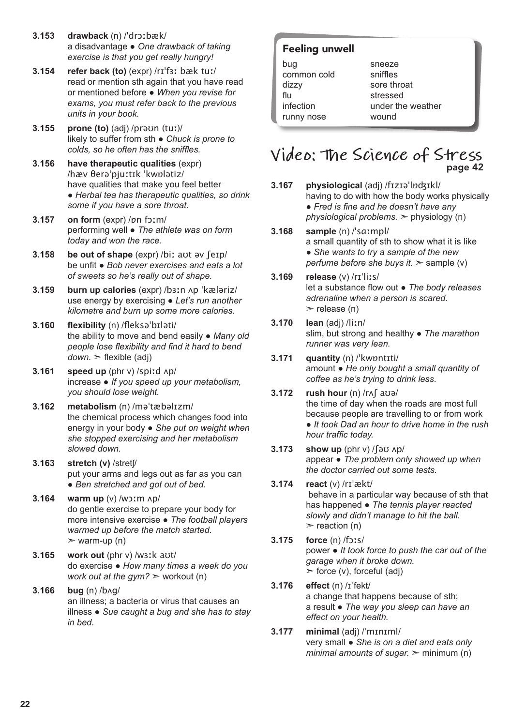- **3.153 drawback** (n) /ˈdrɔːbæk/ a disadvantage ● *One drawback of taking exercise is that you get really hungry!*
- **3.154 refer back (to)** (expr) /rɪˈfɜː bæk tuː/ read or mention sth again that you have read or mentioned before ● *When you revise for exams, you must refer back to the previous units in your book.*
- **3.155 prone (to)** (adj) /prəʊn (tuː)/ likely to suffer from sth ● *Chuck is prone to colds, so he often has the sniffles.*
- **3.156 have therapeutic qualities** (expr) /hæv θerəˈpjuːtɪk ˈkwɒlətiz/ have qualities that make you feel better ● *Herbal tea has therapeutic qualities, so drink some if you have a sore throat.*
- **3.157 on form** (expr) /ɒn fɔːm/ performing well ● *The athlete was on form today and won the race.*
- **3.158 be out of shape** (expr) /biː aʊt əv ʃeɪp/ be unfit ● *Bob never exercises and eats a lot of sweets so he's really out of shape.*
- **3.159 burn up calories** (expr) /bɜːn ʌp ˈkæləriz/ use energy by exercising ● *Let's run another kilometre and burn up some more calories.*
- **3.160 flexibility** (n) /fleksəˈbɪləti/ the ability to move and bend easily ● *Many old people lose flexibility and find it hard to bend down.* ➣ flexible (adj)
- **3.161 speed up** (phr v) /spiːd ʌp/ increase ● *If you speed up your metabolism, you should lose weight.*
- **3.162 metabolism** (n) /məˈtæbəlɪzm/ the chemical process which changes food into energy in your body ● *She put on weight when she stopped exercising and her metabolism slowed down.*
- **3.163 stretch (v)** /stretʃ/ put your arms and legs out as far as you can ● *Ben stretched and got out of bed.*
- **3.164 warm up** (v) /wɔːm ʌp/ do gentle exercise to prepare your body for more intensive exercise ● *The football players warmed up before the match started.*   $>$  warm-up (n)
- **3.165 work out** (phr v) /wɜːk aʊt/ do exercise ● *How many times a week do you work out at the gym?* ➣ workout (n)
- **3.166 bug** (n) /bʌg/ an illness; a bacteria or virus that causes an illness ● *Sue caught a bug and she has to stay in bed.*

### Feeling unwell

bug common cold dizzy flu infection runny nose

sneeze sniffles sore throat stressed under the weather wound

# **Video: The Science of Stress** page 42

- **3.167 physiological** (adj) /fɪzɪəˈlɒʤɪkl/ having to do with how the body works physically ● *Fred is fine and he doesn't have any physiological problems.* ➣ physiology (n)
- **3.168 sample** (n) /ˈsɑːmpl/ a small quantity of sth to show what it is like ● *She wants to try a sample of the new perfume before she buys it.* > sample (v)
- **3.169 release** (v) /rɪˈliːs/ let a substance flow out ● *The body releases adrenaline when a person is scared.*   $\ge$  release (n)
- **3.170 lean** (adj) /liːn/ slim, but strong and healthy ● *The marathon runner was very lean.*
- **3.171 quantity** (n) /ˈkwɒntɪti/ amount ● *He only bought a small quantity of coffee as he's trying to drink less*.
- **3.172 rush hour** (n) /rʌʃ aʊə/ the time of day when the roads are most full because people are travelling to or from work ● *It took Dad an hour to drive home in the rush hour traffic today.*
- **3.173 show up** (phr v) /ʃəʊ ʌp/ appear ● *The problem only showed up when the doctor carried out some tests.*
- **3.174 react** (v) /rɪˈækt/ behave in a particular way because of sth that has happened ● *The tennis player reacted slowly and didn't manage to hit the ball.*   $\ge$  reaction (n)
- **3.175 force** (n) /fɔːs/ power ● *It took force to push the car out of the garage when it broke down.*   $\ge$  force (v), forceful (adj)
- **3.176 effect** (n) /ɪˈfekt/ a change that happens because of sth; a result ● *The way you sleep can have an effect on your health.*
- **3.177 minimal** (adj) /ˈmɪnɪml/ very small ● *She is on a diet and eats only minimal amounts of sugar.*  $\geq$  minimum (n)